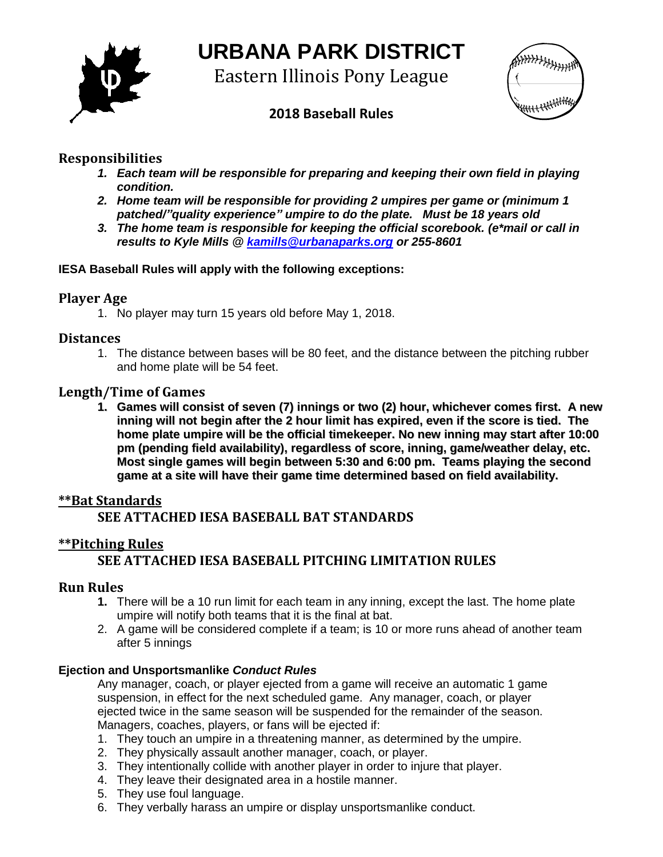

# **URBANA PARK DISTRICT**

Eastern Illinois Pony League



# **2018 Baseball Rules**

## **Responsibilities**

- *1. Each team will be responsible for preparing and keeping their own field in playing condition.*
- *2. Home team will be responsible for providing 2 umpires per game or (minimum 1 patched/"quality experience" umpire to do the plate. Must be 18 years old*
- *3. The home team is responsible for keeping the official scorebook. (e\*mail or call in results to Kyle Mills @ [kamills@urbanaparks.org](mailto:kamills@urbanaparks.org) or 255-8601*

#### **IESA Baseball Rules will apply with the following exceptions:**

## **Player Age**

1. No player may turn 15 years old before May 1, 2018.

#### **Distances**

1. The distance between bases will be 80 feet, and the distance between the pitching rubber and home plate will be 54 feet.

#### **Length/Time of Games**

**1. Games will consist of seven (7) innings or two (2) hour, whichever comes first. A new inning will not begin after the 2 hour limit has expired, even if the score is tied. The home plate umpire will be the official timekeeper. No new inning may start after 10:00 pm (pending field availability), regardless of score, inning, game/weather delay, etc. Most single games will begin between 5:30 and 6:00 pm. Teams playing the second game at a site will have their game time determined based on field availability.**

## **\*\*Bat Standards**

# **SEE ATTACHED IESA BASEBALL BAT STANDARDS**

## **\*\*Pitching Rules**

# **SEE ATTACHED IESA BASEBALL PITCHING LIMITATION RULES**

#### **Run Rules**

- **1.** There will be a 10 run limit for each team in any inning, except the last. The home plate umpire will notify both teams that it is the final at bat.
- 2. A game will be considered complete if a team; is 10 or more runs ahead of another team after 5 innings

#### **Ejection and Unsportsmanlike** *Conduct Rules*

Any manager, coach, or player ejected from a game will receive an automatic 1 game suspension, in effect for the next scheduled game. Any manager, coach, or player ejected twice in the same season will be suspended for the remainder of the season. Managers, coaches, players, or fans will be ejected if:

- 1. They touch an umpire in a threatening manner, as determined by the umpire.
- 2. They physically assault another manager, coach, or player.
- 3. They intentionally collide with another player in order to injure that player.
- 4. They leave their designated area in a hostile manner.
- 5. They use foul language.
- 6. They verbally harass an umpire or display unsportsmanlike conduct.